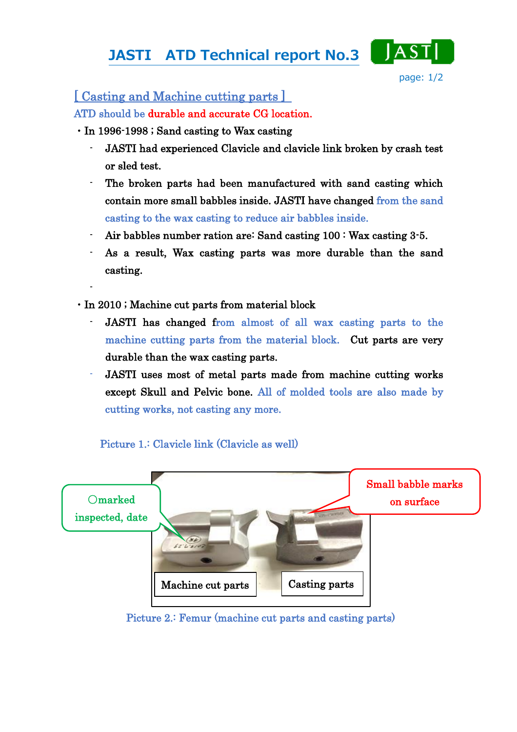## JASTI ATD Technical report No.3



## [ Casting and Machine cutting parts ]

ATD should be durable and accurate CG location.

- ・In 1996-1998 ; Sand casting to Wax casting
	- JASTI had experienced Clavicle and clavicle link broken by crash test or sled test.
	- The broken parts had been manufactured with sand casting which contain more small babbles inside. JASTI have changed from the sand casting to the wax casting to reduce air babbles inside.
	- Air babbles number ration are: Sand casting 100 : Wax casting 3-5.
	- As a result, Wax casting parts was more durable than the sand casting.
- ・In 2010 ; Machine cut parts from material block

-

- JASTI has changed from almost of all wax casting parts to the machine cutting parts from the material block. Cut parts are very durable than the wax casting parts.
- JASTI uses most of metal parts made from machine cutting works except Skull and Pelvic bone. All of molded tools are also made by cutting works, not casting any more.



Picture 1.: Clavicle link (Clavicle as well)

Picture 2.: Femur (machine cut parts and casting parts)